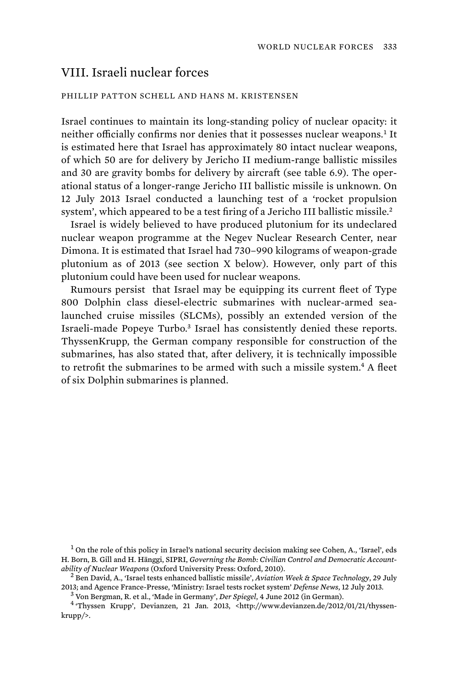## VIII. Israeli nuclear forces

## PHILLIP PATTON SCHELL AND HANS M. KRISTENSEN

Israel continues to maintain its long-standing policy of nuclear opacity: it neither officially confirms nor denies that it possesses nuclear weapons.<sup>1</sup> It is estimated here that Israel has approximately 80 intact nuclear weapons, of which 50 are for delivery by Jericho II medium-range ballistic missiles and 30 are gravity bombs for delivery by aircraft (see table 6.9). The operational status of a longer-range Jericho III ballistic missile is unknown. On 12 July 2013 Israel conducted a launching test of a 'rocket propulsion system', which appeared to be a test firing of a Jericho III ballistic missile.<sup>2</sup>

Israel is widely believed to have produced plutonium for its undeclared nuclear weapon programme at the Negev Nuclear Research Center, near Dimona. It is estimated that Israel had 730–990 kilograms of weapon-grade plutonium as of 2013 (see section X below). However, only part of this plutonium could have been used for nuclear weapons.

Rumours persist that Israel may be equipping its current fleet of Type 800 Dolphin class diesel-electric submarines with nuclear-armed sealaunched cruise missiles (SLCMs), possibly an extended version of the Israeli-made Popeye Turbo.<sup>3</sup> Israel has consistently denied these reports. ThyssenKrupp, the German company responsible for construction of the submarines, has also stated that, after delivery, it is technically impossible to retrofit the submarines to be armed with such a missile system.<sup>4</sup> A fleet of six Dolphin submarines is planned.

<sup>1</sup> On the role of this policy in Israel's national security decision making see Cohen, A., 'Israel', eds H. Born, B. Gill and H. Hänggi, SIPRI, *Governing the Bomb: Civilian Control and Democratic Accountability of Nuclear Weapons* (Oxford University Press: Oxford, 2010). <sup>2</sup>

 Ben David, A., 'Israel tests enhanced ballistic missile', *Aviation Week & Space Technology*, 29 July 2013; and Agence France-Presse, 'Ministry: Israel tests rocket system' *Defense News*, 12 July 2013. <sup>3</sup>

Von Bergman, R. et al., 'Made in Germany', *Der Spiegel*, 4 June 2012 (in German). <sup>4</sup>

 'Thyssen Krupp', Devianzen, 21 Jan. 2013, <http://www.devianzen.de/2012/01/21/thyssenkrupp/>.